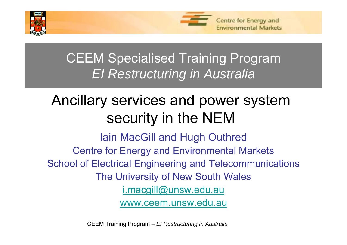



## CEEM Specialised Training Program *EI Restructuring in Australia*

# Ancillary services and power system security in the NEM

Iain MacGill and Hugh Outhred Centre for Energy and Environmental Markets School of Electrical Engineering and Telecommunications The University of New South Wales [i.macgill@unsw.edu.au](mailto:i.macgill@unsw.edu.au) [www.ceem.unsw.edu.au](http://www.ceem.unsw.edu.au/)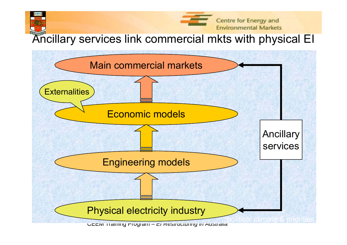Centre for Energy and **Environmental Markets** 

Ancillary services link commercial mkts with physical EI

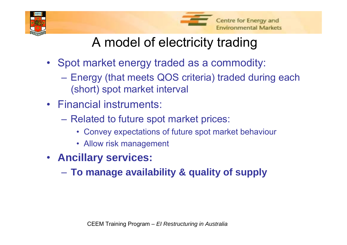



## A model of electricity trading

- Spot market energy traded as a commodity:
	- Energy (that meets QOS criteria) traded during each (short) spot market interval
- Financial instruments:
	- Related to future spot market prices:
		- Convey expectations of future spot market behaviour
		- Allow risk management
- **Ancillary services:**
	- **To manage availability & quality of supply**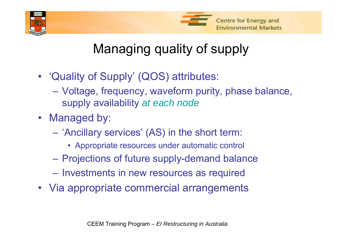



## Managing quality of supply

- 'Quality of Supply' (QOS) attributes:
	- Voltage, frequency, waveform purity, phase balance, supply availability *at each node*
- Managed by:
	- 'Ancillary services' (AS) in the short term:
		- Appropriate resources under automatic control
	- –Projections of future supply-demand balance
	- –- Investments in new resources as required
- Via appropriate commercial arrangements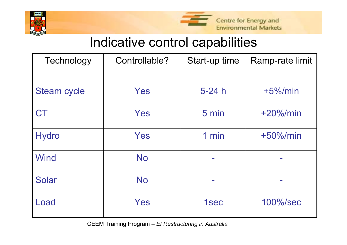



Centre for Energy and **Environmental Markets** 

## Indicative control capabilities

| Technology         | Controllable? | Start-up time | Ramp-rate limit |
|--------------------|---------------|---------------|-----------------|
|                    |               |               |                 |
| <b>Steam cycle</b> | Yes           | $5-24h$       | $+5\%$ /min     |
| <b>CT</b>          | Yes           | 5 min         | $+20\%$ /min    |
| <b>Hydro</b>       | Yes           | 1 min         | +50%/min        |
| <b>Wind</b>        | <b>No</b>     |               |                 |
| <b>Solar</b>       | <b>No</b>     |               |                 |
| Load               | Yes           | 1sec          | 100%/sec        |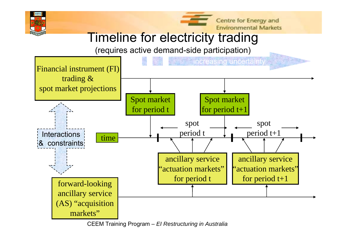Centre for Energy and **Environmental Markets** 

### Timeline for electricity trading

(requires active demand-side participation)

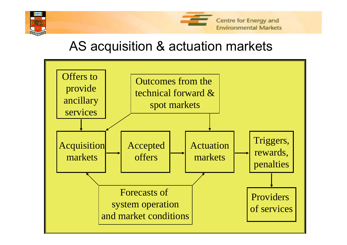



## AS acquisition & actuation markets

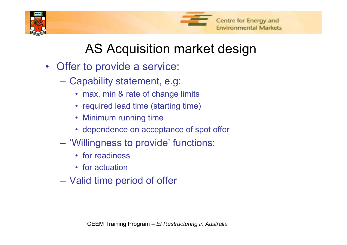



## AS Acquisition market design

- • Offer to provide a service:
	- Capability statement, e.g:
		- max, min & rate of change limits
		- required lead time (starting time)
		- Minimum running time
		- dependence on acceptance of spot offer
	- 'Willingness to provide' functions:
		- for readiness
		- for actuation
	- Valid time period of offer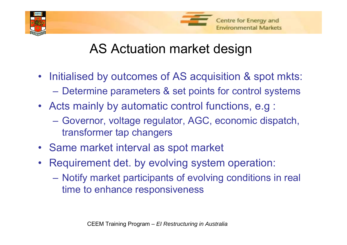



## AS Actuation market design

- Initialised by outcomes of AS acquisition & spot mkts: Determine parameters & set points for control systems
- Acts mainly by automatic control functions, e.g :
	- Governor, voltage regulator, AGC, economic dispatch, transformer tap changers
- Same market interval as spot market
- • Requirement det. by evolving system operation:
	- Notify market participants of evolving conditions in real time to enhance responsiveness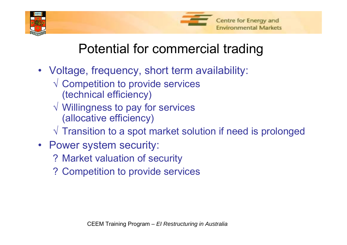



## Potential for commercial trading

- Voltage, frequency, short term availability:
	- $\sqrt{2}$  Competition to provide services (technical efficiency)
	- √ Willingness to pay for services (allocative efficiency)
	- $\sqrt{ }$  Transition to a spot market solution if need is prolonged
- Power system security:
	- ? Market valuation of security
	- ? Competition to provide services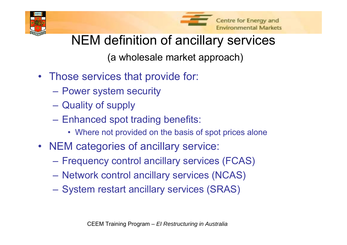



## NEM definition of ancillary services

(a wholesale market approach)

- Those services that provide for:
	- Power system security
	- Quality of supply
	- Enhanced spot trading benefits:
		- Where not provided on the basis of spot prices alone
- NEM categories of ancillary service:
	- Frequency control ancillary services (FCAS)
	- Network control ancillary services (NCAS)
	- System restart ancillary services (SRAS)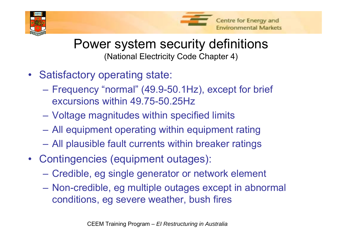



### Power system security definitions (National Electricity Code Chapter 4)

- • Satisfactory operating state:
	- Frequency "normal" (49.9-50.1Hz), except for brief excursions within 49.75-50.25Hz
	- Voltage magnitudes within specified limits
	- All equipment operating within equipment rating
	- All plausible fault currents within breaker ratings
- Contingencies (equipment outages):
	- Credible, eg single generator or network element
	- Non-credible, eg multiple outages except in abnormal conditions, eg severe weather, bush fires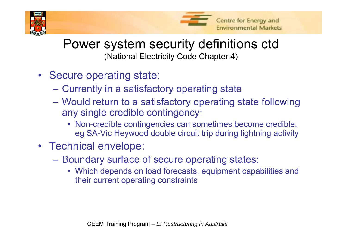



### Power system security definitions ctd (National Electricity Code Chapter 4)

- Secure operating state:
	- –Currently in a satisfactory operating state
	- Would return to a satisfactory operating state following any single credible contingency:
		- Non-credible contingencies can sometimes become credible, eg SA-Vic Heywood double circuit trip during lightning activity
- Technical envelope:
	- Boundary surface of secure operating states:
		- Which depends on load forecasts, equipment capabilities and their current operating constraints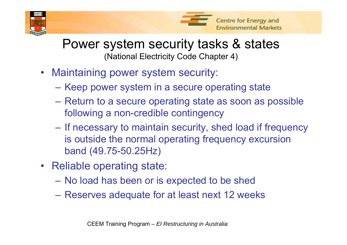



### Power system security tasks & states (National Electricity Code Chapter 4)

- Maintaining power system security:
	- Keep power system in a secure operating state
	- Return to a secure operating state as soon as possible following a non-credible contingency
	- If necessary to maintain security, shed load if frequency is outside the normal operating frequency excursion band (49.75-50.25Hz)
- • Reliable operating state:
	- No load has been or is expected to be shed
	- Reserves adequate for at least next 12 weeks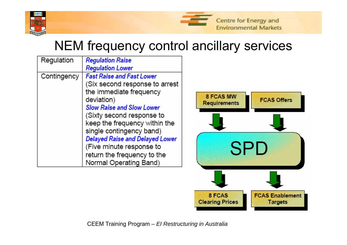



## NEM frequency control ancillary services

| Regulation  | <b>Regulation Raise</b><br><b>Regulation Lower</b>                                                                                                                                                                                                                                                                                                                       |
|-------------|--------------------------------------------------------------------------------------------------------------------------------------------------------------------------------------------------------------------------------------------------------------------------------------------------------------------------------------------------------------------------|
| Contingency | <b>Fast Raise and Fast Lower</b><br>(Six second response to arrest<br>the immediate frequency<br>deviation)<br><b>Slow Raise and Slow Lower</b><br>(Sixty second response to<br>keep the frequency within the<br>single contingency band)<br><b>Delayed Raise and Delayed Lower</b><br>(Five minute response to<br>return the frequency to the<br>Normal Operating Band) |

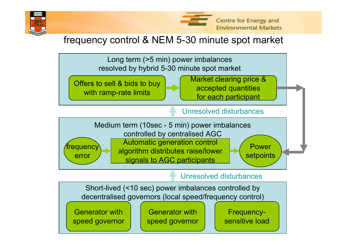



#### frequency control & NEM 5-30 minute spot market



decentralised governors (local speed/frequency control)

Generator withspeed governor

ed governor  $\begin{array}{|c|c|c|c|}\hline \end{array}$  epeed governor  $\begin{array}{|c|c|c|c|}\hline \end{array}$  is Generator with

Frequencysensitive load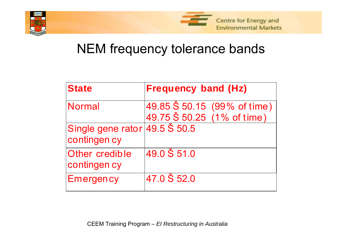



### NEM frequency tolerance bands

| <b>State</b>                                   | <b>Frequency band (Hz)</b>                                |
|------------------------------------------------|-----------------------------------------------------------|
| <b>Normal</b>                                  | 49.85 \$50.15 (99% of time)<br>49.75 Š 50.25 (1% of time) |
| Single gene rator 49.5 \$ 50.5<br>contingen cy |                                                           |
| Other credible<br>contingen cy                 | 49.0 \$51.0                                               |
| <b>Emergency</b>                               | 47.0 \$52.0                                               |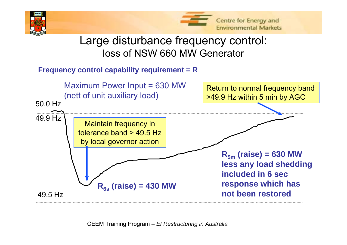



### Large disturbance frequency control: loss of NSW 660 MW Generator

**Frequency control capability requirement = R**

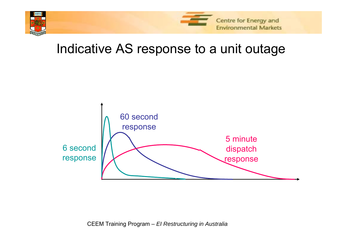



### Indicative AS response to a unit outage

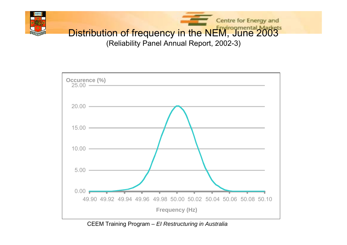

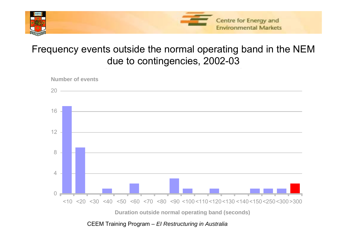



#### Frequency events outside the normal operating band in the NEM due to contingencies, 2002-03

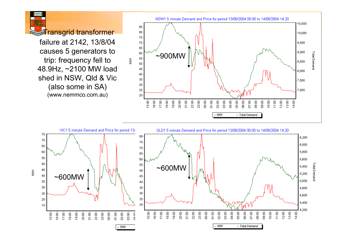

#### **Transgrid transformer** failure at 2142, 13/8/04

causes 5 generators to trip: frequency fell to 48.9Hz, ~2100 MW load shed in NSW, Qld & Vic (also some in SA) (www.nemmco.com.au)



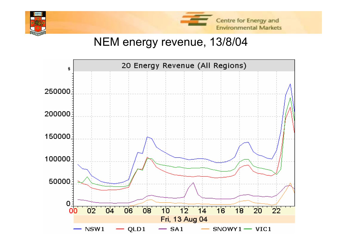

### NEM energy revenue, 13/8/04

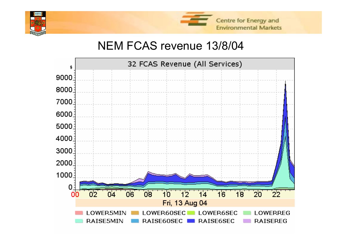



### NEM FCAS revenue 13/8/04

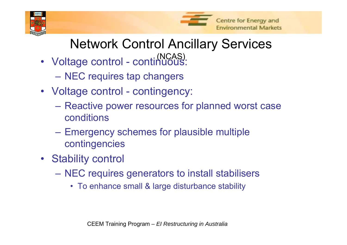



# Network Control Ancillary Services

- (NCAS) •• Voltage control - continuous:
	- NEC requires tap changers
- Voltage control contingency:
	- Reactive power resources for planned worst case conditions
	- Emergency schemes for plausible multiple contingencies
- Stability control
	- – NEC requires generators to install stabilisers
		- To enhance small & large disturbance stability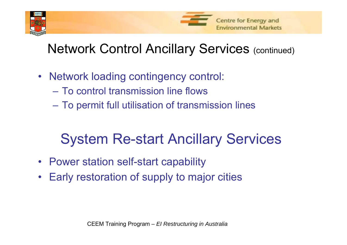



## Network Control Ancillary Services (continued)

- $\bullet$  Network loading contingency control:
	- To control transmission line flows
	- To permit full utilisation of transmission lines

# System Re-start Ancillary Services

- $\bullet$ Power station self-start capability
- •Early restoration of supply to major cities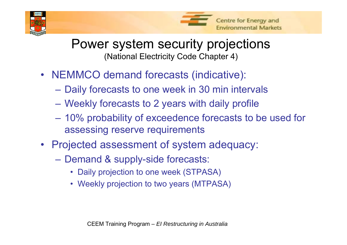



### Power system security projections (National Electricity Code Chapter 4)

- NEMMCO demand forecasts (indicative):
	- Daily forecasts to one week in 30 min intervals
	- Weekly forecasts to 2 years with daily profile
	- 10% probability of exceedence forecasts to be used for assessing reserve requirements
- • Projected assessment of system adequacy:
	- Demand & supply-side forecasts:
		- Daily projection to one week (STPASA)
		- Weekly projection to two years (MTPASA)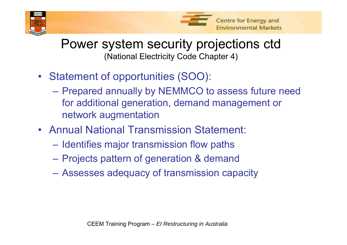



### Power system security projections ctd (National Electricity Code Chapter 4)

- Statement of opportunities (SOO):
	- Prepared annually by NEMMCO to assess future need for additional generation, demand management or network augmentation
- Annual National Transmission Statement:
	- – $-$  Identifies major transmission flow paths
	- –Projects pattern of generation & demand
	- –Assesses adequacy of transmission capacity